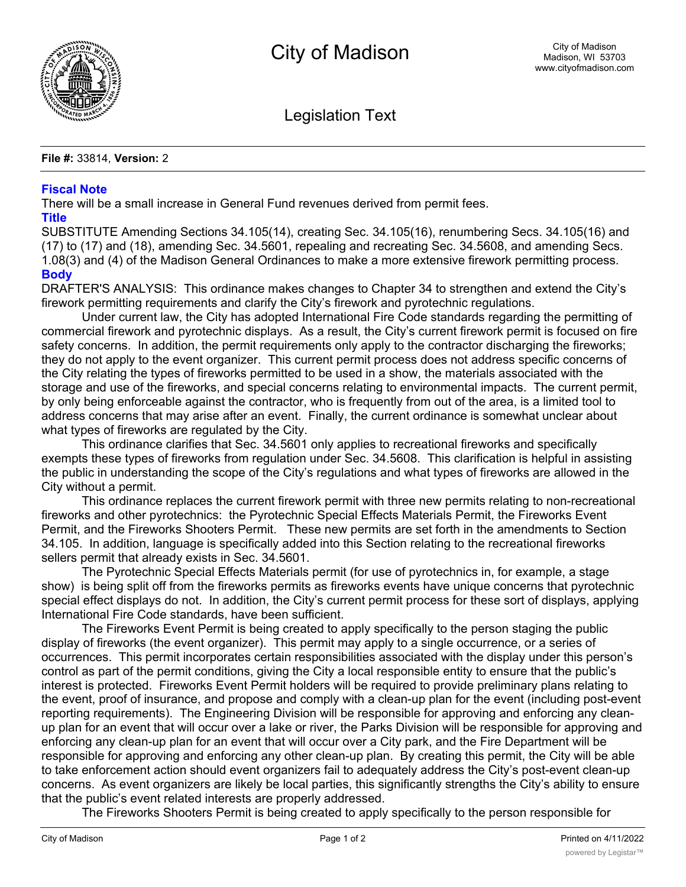

Legislation Text

**File #:** 33814, **Version:** 2

## **Fiscal Note**

There will be a small increase in General Fund revenues derived from permit fees.

## **Title**

SUBSTITUTE Amending Sections 34.105(14), creating Sec. 34.105(16), renumbering Secs. 34.105(16) and (17) to (17) and (18), amending Sec. 34.5601, repealing and recreating Sec. 34.5608, and amending Secs. 1.08(3) and (4) of the Madison General Ordinances to make a more extensive firework permitting process. **Body**

DRAFTER'S ANALYSIS: This ordinance makes changes to Chapter 34 to strengthen and extend the City's firework permitting requirements and clarify the City's firework and pyrotechnic regulations.

Under current law, the City has adopted International Fire Code standards regarding the permitting of commercial firework and pyrotechnic displays. As a result, the City's current firework permit is focused on fire safety concerns. In addition, the permit requirements only apply to the contractor discharging the fireworks; they do not apply to the event organizer. This current permit process does not address specific concerns of the City relating the types of fireworks permitted to be used in a show, the materials associated with the storage and use of the fireworks, and special concerns relating to environmental impacts. The current permit, by only being enforceable against the contractor, who is frequently from out of the area, is a limited tool to address concerns that may arise after an event. Finally, the current ordinance is somewhat unclear about what types of fireworks are regulated by the City.

This ordinance clarifies that Sec. 34.5601 only applies to recreational fireworks and specifically exempts these types of fireworks from regulation under Sec. 34.5608. This clarification is helpful in assisting the public in understanding the scope of the City's regulations and what types of fireworks are allowed in the City without a permit.

This ordinance replaces the current firework permit with three new permits relating to non-recreational fireworks and other pyrotechnics: the Pyrotechnic Special Effects Materials Permit, the Fireworks Event Permit, and the Fireworks Shooters Permit. These new permits are set forth in the amendments to Section 34.105. In addition, language is specifically added into this Section relating to the recreational fireworks sellers permit that already exists in Sec. 34.5601.

The Pyrotechnic Special Effects Materials permit (for use of pyrotechnics in, for example, a stage show) is being split off from the fireworks permits as fireworks events have unique concerns that pyrotechnic special effect displays do not. In addition, the City's current permit process for these sort of displays, applying International Fire Code standards, have been sufficient.

The Fireworks Event Permit is being created to apply specifically to the person staging the public display of fireworks (the event organizer). This permit may apply to a single occurrence, or a series of occurrences. This permit incorporates certain responsibilities associated with the display under this person's control as part of the permit conditions, giving the City a local responsible entity to ensure that the public's interest is protected. Fireworks Event Permit holders will be required to provide preliminary plans relating to the event, proof of insurance, and propose and comply with a clean-up plan for the event (including post-event reporting requirements). The Engineering Division will be responsible for approving and enforcing any cleanup plan for an event that will occur over a lake or river, the Parks Division will be responsible for approving and enforcing any clean-up plan for an event that will occur over a City park, and the Fire Department will be responsible for approving and enforcing any other clean-up plan. By creating this permit, the City will be able to take enforcement action should event organizers fail to adequately address the City's post-event clean-up concerns. As event organizers are likely be local parties, this significantly strengths the City's ability to ensure that the public's event related interests are properly addressed.

The Fireworks Shooters Permit is being created to apply specifically to the person responsible for